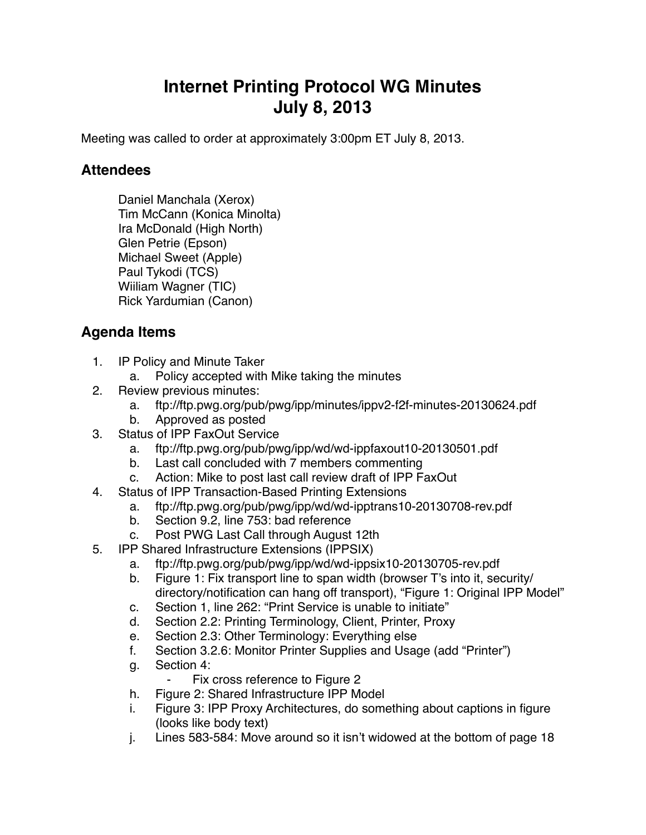## **Internet Printing Protocol WG Minutes July 8, 2013**

Meeting was called to order at approximately 3:00pm ET July 8, 2013.

## **Attendees**

Daniel Manchala (Xerox) Tim McCann (Konica Minolta) Ira McDonald (High North) Glen Petrie (Epson) Michael Sweet (Apple) Paul Tykodi (TCS) Wiiliam Wagner (TIC) Rick Yardumian (Canon)

## **Agenda Items**

- 1. IP Policy and Minute Taker
	- a. Policy accepted with Mike taking the minutes
- 2. Review previous minutes:
	- a. ftp://ftp.pwg.org/pub/pwg/ipp/minutes/ippv2-f2f-minutes-20130624.pdf
	- b. Approved as posted
- 3. Status of IPP FaxOut Service
	- a. ftp://ftp.pwg.org/pub/pwg/ipp/wd/wd-ippfaxout10-20130501.pdf
	- b. Last call concluded with 7 members commenting
	- c. Action: Mike to post last call review draft of IPP FaxOut
- 4. Status of IPP Transaction-Based Printing Extensions
	- a. ftp://ftp.pwg.org/pub/pwg/ipp/wd/wd-ipptrans10-20130708-rev.pdf
	- b. Section 9.2, line 753: bad reference
	- c. Post PWG Last Call through August 12th
- 5. IPP Shared Infrastructure Extensions (IPPSIX)
	- a. ftp://ftp.pwg.org/pub/pwg/ipp/wd/wd-ippsix10-20130705-rev.pdf
	- b. Figure 1: Fix transport line to span width (browser T's into it, security/ directory/notification can hang off transport), "Figure 1: Original IPP Model"
	- c. Section 1, line 262: "Print Service is unable to initiate"
	- d. Section 2.2: Printing Terminology, Client, Printer, Proxy
	- e. Section 2.3: Other Terminology: Everything else
	- f. Section 3.2.6: Monitor Printer Supplies and Usage (add "Printer")
	- g. Section 4:
		- ⁃ Fix cross reference to Figure 2
	- h. Figure 2: Shared Infrastructure IPP Model
	- i. Figure 3: IPP Proxy Architectures, do something about captions in figure (looks like body text)
	- j. Lines 583-584: Move around so it isn't widowed at the bottom of page 18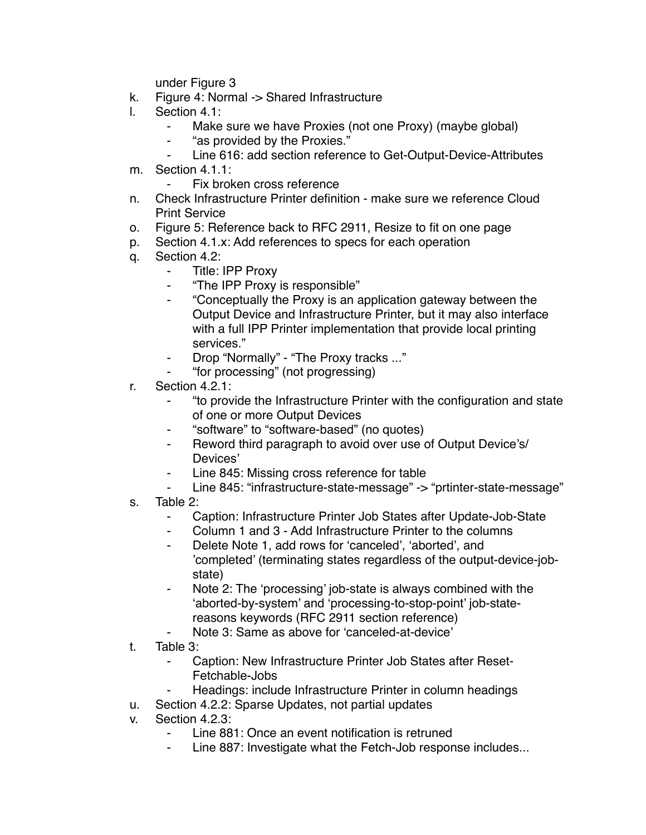under Figure 3

- k. Figure 4: Normal -> Shared Infrastructure
- l. Section 4.1:
	- Make sure we have Proxies (not one Proxy) (maybe global)
	- ⁃ "as provided by the Proxies."
	- Line 616: add section reference to Get-Output-Device-Attributes
- m. Section 4.1.1:
	- ⁃ Fix broken cross reference
- n. Check Infrastructure Printer definition make sure we reference Cloud Print Service
- o. Figure 5: Reference back to RFC 2911, Resize to fit on one page
- p. Section 4.1.x: Add references to specs for each operation
- q. Section 4.2:
	- ⁃ Title: IPP Proxy
	- ⁃ "The IPP Proxy is responsible"
	- ⁃ "Conceptually the Proxy is an application gateway between the Output Device and Infrastructure Printer, but it may also interface with a full IPP Printer implementation that provide local printing services."
	- ⁃ Drop "Normally" "The Proxy tracks ..."
	- ⁃ "for processing" (not progressing)
- r. Section 4.2.1:
	- ⁃ "to provide the Infrastructure Printer with the configuration and state of one or more Output Devices
	- ⁃ "software" to "software-based" (no quotes)
	- ⁃ Reword third paragraph to avoid over use of Output Device's/ Devices'
	- Line 845: Missing cross reference for table
	- Line 845: "infrastructure-state-message" -> "prtinter-state-message"
- s. Table 2:
	- ⁃ Caption: Infrastructure Printer Job States after Update-Job-State
	- Column 1 and 3 Add Infrastructure Printer to the columns
	- Delete Note 1, add rows for 'canceled', 'aborted', and 'completed' (terminating states regardless of the output-device-jobstate)
	- Note 2: The 'processing' job-state is always combined with the 'aborted-by-system' and 'processing-to-stop-point' job-statereasons keywords (RFC 2911 section reference)
	- Note 3: Same as above for 'canceled-at-device'
- t. Table 3:
	- ⁃ Caption: New Infrastructure Printer Job States after Reset-Fetchable-Jobs
	- Headings: include Infrastructure Printer in column headings
- u. Section 4.2.2: Sparse Updates, not partial updates
- v. Section 4.2.3:
	- Line 881: Once an event notification is retruned
	- Line 887: Investigate what the Fetch-Job response includes...